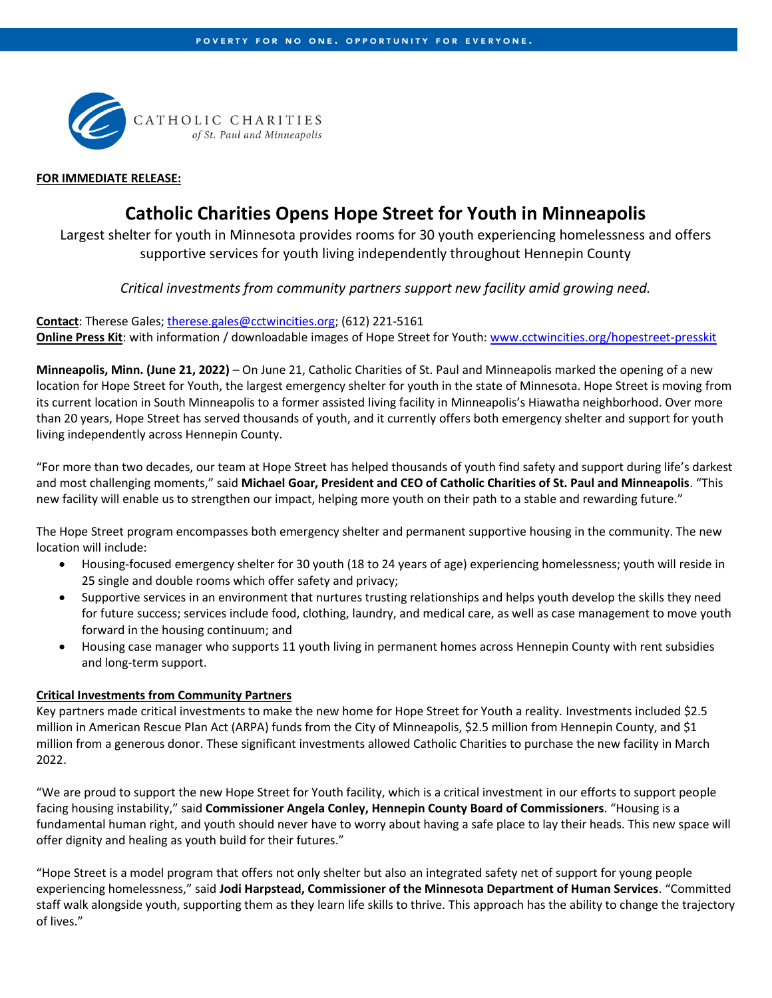

### **FOR IMMEDIATE RELEASE:**

# **Catholic Charities Opens Hope Street for Youth in Minneapolis**

Largest shelter for youth in Minnesota provides rooms for 30 youth experiencing homelessness and offers supportive services for youth living independently throughout Hennepin County

*Critical investments from community partners support new facility amid growing need.*

**Contact**: Therese Gales[; therese.gales@cctwincities.org;](mailto:therese.gales@cctwincities.org) (612) 221-5161

**Online Press Kit**: with information / downloadable images of Hope Street for Youth[: www.cctwincities.org/hopestreet-presskit](http://www.cctwincities.org/hopestreet-presskit)

**Minneapolis, Minn. (June 21, 2022)** – On June 21, Catholic Charities of St. Paul and Minneapolis marked the opening of a new location for Hope Street for Youth, the largest emergency shelter for youth in the state of Minnesota. Hope Street is moving from its current location in South Minneapolis to a former assisted living facility in Minneapolis's Hiawatha neighborhood. Over more than 20 years, Hope Street has served thousands of youth, and it currently offers both emergency shelter and support for youth living independently across Hennepin County.

"For more than two decades, our team at Hope Street has helped thousands of youth find safety and support during life's darkest and most challenging moments," said **Michael Goar, President and CEO of Catholic Charities of St. Paul and Minneapolis**. "This new facility will enable us to strengthen our impact, helping more youth on their path to a stable and rewarding future."

The Hope Street program encompasses both emergency shelter and permanent supportive housing in the community. The new location will include:

- Housing-focused emergency shelter for 30 youth (18 to 24 years of age) experiencing homelessness; youth will reside in 25 single and double rooms which offer safety and privacy;
- Supportive services in an environment that nurtures trusting relationships and helps youth develop the skills they need for future success; services include food, clothing, laundry, and medical care, as well as case management to move youth forward in the housing continuum; and
- Housing case manager who supports 11 youth living in permanent homes across Hennepin County with rent subsidies and long-term support.

# **Critical Investments from Community Partners**

Key partners made critical investments to make the new home for Hope Street for Youth a reality. Investments included \$2.5 million in American Rescue Plan Act (ARPA) funds from the City of Minneapolis, \$2.5 million from Hennepin County, and \$1 million from a generous donor. These significant investments allowed Catholic Charities to purchase the new facility in March 2022.

"We are proud to support the new Hope Street for Youth facility, which is a critical investment in our efforts to support people facing housing instability," said **Commissioner Angela Conley, Hennepin County Board of Commissioners**. "Housing is a fundamental human right, and youth should never have to worry about having a safe place to lay their heads. This new space will offer dignity and healing as youth build for their futures."

"Hope Street is a model program that offers not only shelter but also an integrated safety net of support for young people experiencing homelessness," said **Jodi Harpstead, Commissioner of the Minnesota Department of Human Services**. "Committed staff walk alongside youth, supporting them as they learn life skills to thrive. This approach has the ability to change the trajectory of lives."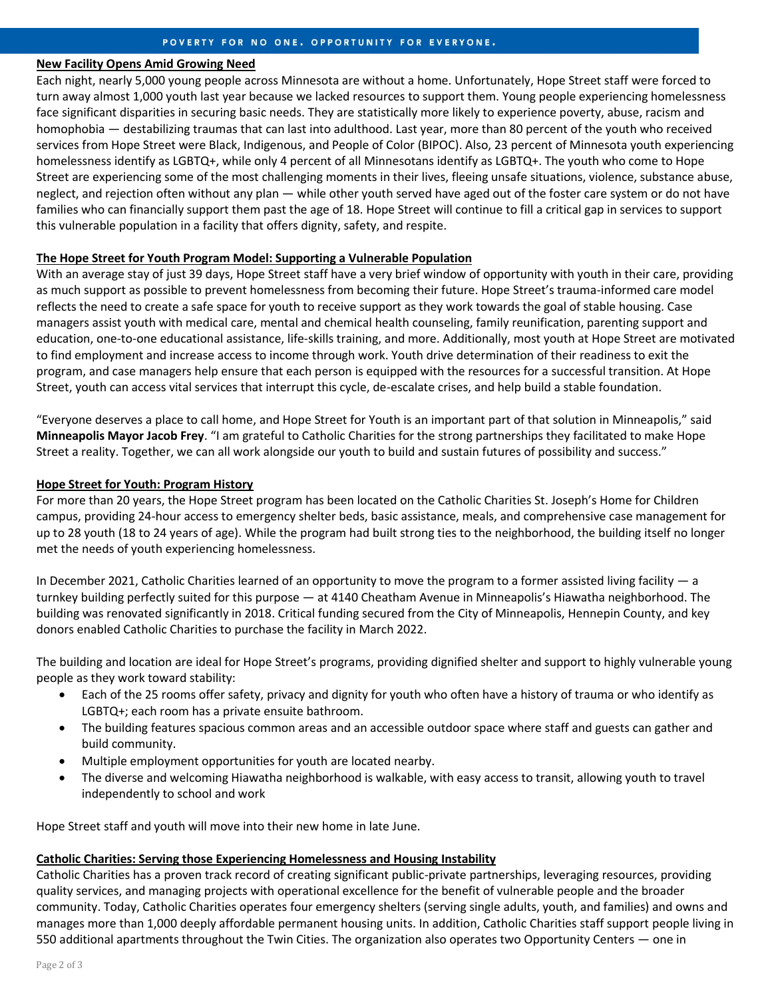#### **New Facility Opens Amid Growing Need**

Each night, nearly 5,000 young people across Minnesota are without a home. Unfortunately, Hope Street staff were forced to turn away almost 1,000 youth last year because we lacked resources to support them. Young people experiencing homelessness face significant disparities in securing basic needs. They are statistically more likely to experience poverty, abuse, racism and homophobia — destabilizing traumas that can last into adulthood. Last year, more than 80 percent of the youth who received services from Hope Street were Black, Indigenous, and People of Color (BIPOC). Also, 23 percent of Minnesota youth experiencing homelessness identify as LGBTQ+, while only 4 percent of all Minnesotans identify as LGBTQ+. The youth who come to Hope Street are experiencing some of the most challenging moments in their lives, fleeing unsafe situations, violence, substance abuse, neglect, and rejection often without any plan — while other youth served have aged out of the foster care system or do not have families who can financially support them past the age of 18. Hope Street will continue to fill a critical gap in services to support this vulnerable population in a facility that offers dignity, safety, and respite.

#### **The Hope Street for Youth Program Model: Supporting a Vulnerable Population**

With an average stay of just 39 days, Hope Street staff have a very brief window of opportunity with youth in their care, providing as much support as possible to prevent homelessness from becoming their future. Hope Street's trauma-informed care model reflects the need to create a safe space for youth to receive support as they work towards the goal of stable housing. Case managers assist youth with medical care, mental and chemical health counseling, family reunification, parenting support and education, one-to-one educational assistance, life-skills training, and more. Additionally, most youth at Hope Street are motivated to find employment and increase access to income through work. Youth drive determination of their readiness to exit the program, and case managers help ensure that each person is equipped with the resources for a successful transition. At Hope Street, youth can access vital services that interrupt this cycle, de-escalate crises, and help build a stable foundation.

"Everyone deserves a place to call home, and Hope Street for Youth is an important part of that solution in Minneapolis," said **Minneapolis Mayor Jacob Frey**. "I am grateful to Catholic Charities for the strong partnerships they facilitated to make Hope Street a reality. Together, we can all work alongside our youth to build and sustain futures of possibility and success."

#### **Hope Street for Youth: Program History**

For more than 20 years, the Hope Street program has been located on the Catholic Charities St. Joseph's Home for Children campus, providing 24-hour access to emergency shelter beds, basic assistance, meals, and comprehensive case management for up to 28 youth (18 to 24 years of age). While the program had built strong ties to the neighborhood, the building itself no longer met the needs of youth experiencing homelessness.

In December 2021, Catholic Charities learned of an opportunity to move the program to a former assisted living facility  $-$  a turnkey building perfectly suited for this purpose — at 4140 Cheatham Avenue in Minneapolis's Hiawatha neighborhood. The building was renovated significantly in 2018. Critical funding secured from the City of Minneapolis, Hennepin County, and key donors enabled Catholic Charities to purchase the facility in March 2022.

The building and location are ideal for Hope Street's programs, providing dignified shelter and support to highly vulnerable young people as they work toward stability:

- Each of the 25 rooms offer safety, privacy and dignity for youth who often have a history of trauma or who identify as LGBTQ+; each room has a private ensuite bathroom.
- The building features spacious common areas and an accessible outdoor space where staff and guests can gather and build community.
- Multiple employment opportunities for youth are located nearby.
- The diverse and welcoming Hiawatha neighborhood is walkable, with easy access to transit, allowing youth to travel independently to school and work

Hope Street staff and youth will move into their new home in late June.

## **Catholic Charities: Serving those Experiencing Homelessness and Housing Instability**

Catholic Charities has a proven track record of creating significant public-private partnerships, leveraging resources, providing quality services, and managing projects with operational excellence for the benefit of vulnerable people and the broader community. Today, Catholic Charities operates four emergency shelters (serving single adults, youth, and families) and owns and manages more than 1,000 deeply affordable permanent housing units. In addition, Catholic Charities staff support people living in 550 additional apartments throughout the Twin Cities. The organization also operates two Opportunity Centers — one in